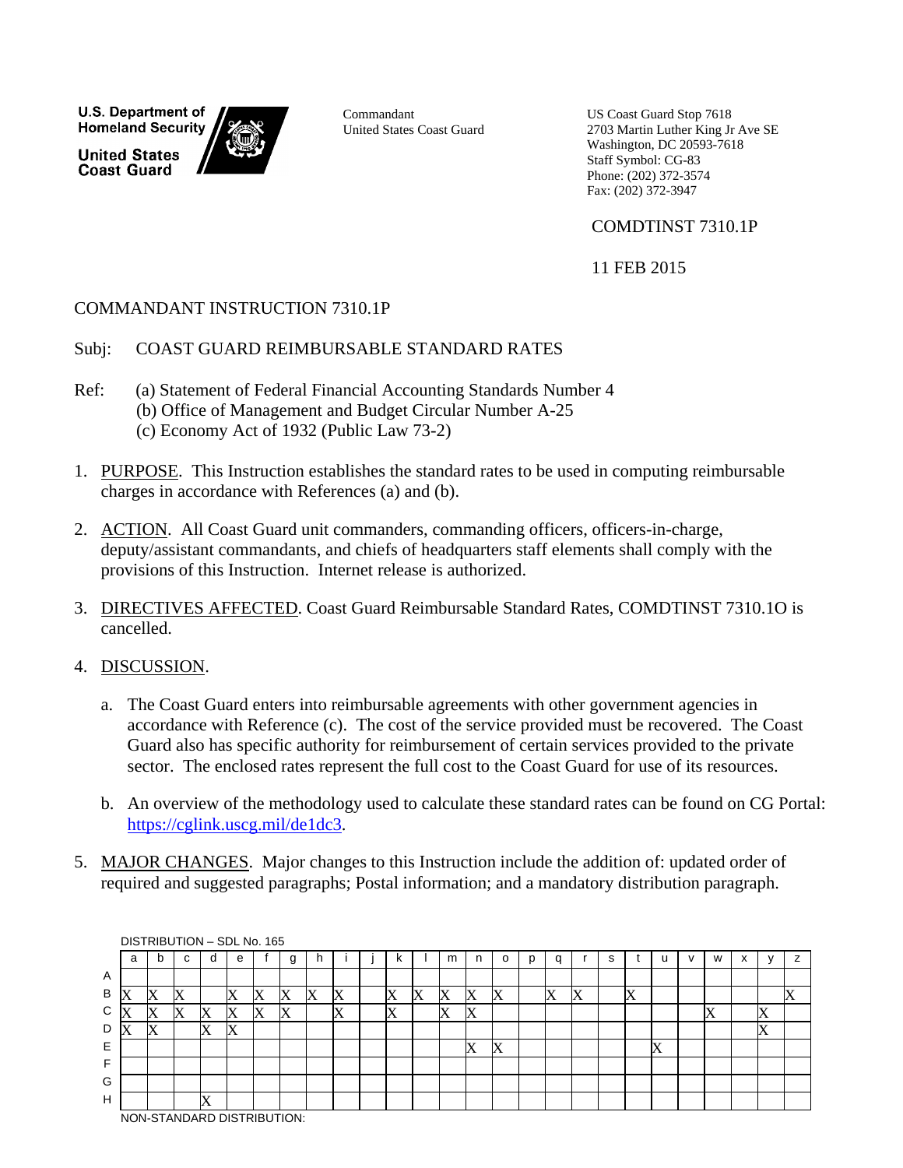**U.S. Department of Homeland Security United States Coast Guard** 



Commandant United States Coast Guard US Coast Guard Stop 7618 2703 Martin Luther King Jr Ave SE Washington, DC 20593-7618 Staff Symbol: CG-83 Phone: (202) 372-3574 Fax: (202) 372-3947

# COMDTINST 7310.1P

11 FEB 2015

# COMMANDANT INSTRUCTION 7310.1P

#### Subj: COAST GUARD REIMBURSABLE STANDARD RATES

- Ref: (a) Statement of Federal Financial Accounting Standards Number 4 (b) Office of Management and Budget Circular Number A-25 (c) Economy Act of 1932 (Public Law 73-2)
- 1. PURPOSE. This Instruction establishes the standard rates to be used in computing reimbursable charges in accordance with References (a) and (b).
- 2. ACTION. All Coast Guard unit commanders, commanding officers, officers-in-charge, deputy/assistant commandants, and chiefs of headquarters staff elements shall comply with the provisions of this Instruction. Internet release is authorized.
- 3. DIRECTIVES AFFECTED. Coast Guard Reimbursable Standard Rates, COMDTINST 7310.1O is cancelled.
- 4. DISCUSSION.
	- a. The Coast Guard enters into reimbursable agreements with other government agencies in accordance with Reference (c). The cost of the service provided must be recovered. The Coast Guard also has specific authority for reimbursement of certain services provided to the private sector. The enclosed rates represent the full cost to the Coast Guard for use of its resources.
	- b. An overview of the methodology used to calculate these standard rates can be found on CG Portal: [https://cglink.uscg.mil/de1dc3.](https://cglink.uscg.mil/de1dc3)
- 5. MAJOR CHANGES. Major changes to this Instruction include the addition of: updated order of required and suggested paragraphs; Postal information; and a mandatory distribution paragraph.

|   |   |           | DISTRIBUTION - SDL No. 165 |          |   |         |   |   |   |   |   |   |                |                   |   |   |   |   |                   |   |   |   |           |   |   |
|---|---|-----------|----------------------------|----------|---|---------|---|---|---|---|---|---|----------------|-------------------|---|---|---|---|-------------------|---|---|---|-----------|---|---|
|   | a | b         | C                          |          | e |         | g | h |   | ĸ |   | m | n              | o                 | р | q |   | s |                   |   | v | W | $\lambda$ |   | z |
| Α |   |           |                            |          |   |         |   |   |   |   |   |   |                |                   |   |   |   |   |                   |   |   |   |           |   |   |
| В | X |           | Х                          |          |   | v<br>ΙĀ | X | X | X | X | Х | X | ΙĀ             | $\mathbf v$<br>ΙĀ |   | X | X |   | $\mathbf{v}$<br>л |   |   |   |           |   | Х |
| C | X | $\Lambda$ | Х                          | л        | Х | v<br>⋀  | X |   | X | X |   | X | ⋀              |                   |   |   |   |   |                   |   |   | Х |           | Х |   |
| D | Х | v<br>ΙA   |                            | v<br>л   | Х |         |   |   |   |   |   |   |                |                   |   |   |   |   |                   |   |   |   |           | Х |   |
| Е |   |           |                            |          |   |         |   |   |   |   |   |   | <b>T</b><br>ΙX | $\mathbf v$<br>ΙĀ |   |   |   |   |                   | A |   |   |           |   |   |
| F |   |           |                            |          |   |         |   |   |   |   |   |   |                |                   |   |   |   |   |                   |   |   |   |           |   |   |
| G |   |           |                            |          |   |         |   |   |   |   |   |   |                |                   |   |   |   |   |                   |   |   |   |           |   |   |
| H |   |           |                            | <b>T</b> |   |         |   |   |   |   |   |   |                |                   |   |   |   |   |                   |   |   |   |           |   |   |
|   |   |           | NON-STANDARD DISTRIBUTION: |          |   |         |   |   |   |   |   |   |                |                   |   |   |   |   |                   |   |   |   |           |   |   |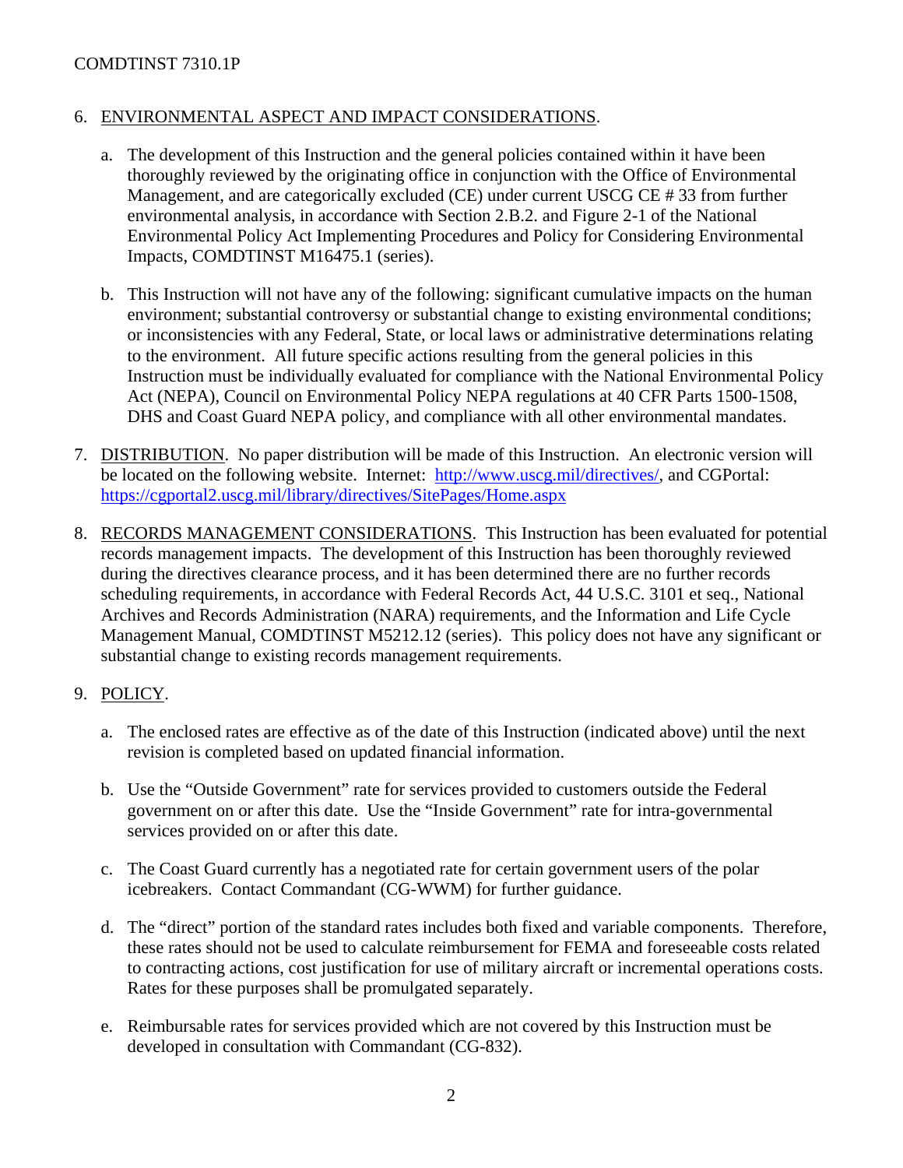# COMDTINST 7310.1P

#### 6. ENVIRONMENTAL ASPECT AND IMPACT CONSIDERATIONS.

- a. The development of this Instruction and the general policies contained within it have been thoroughly reviewed by the originating office in conjunction with the Office of Environmental Management, and are categorically excluded (CE) under current USCG CE # 33 from further environmental analysis, in accordance with Section 2.B.2. and Figure 2-1 of the National Environmental Policy Act Implementing Procedures and Policy for Considering Environmental Impacts, COMDTINST M16475.1 (series).
- b. This Instruction will not have any of the following: significant cumulative impacts on the human environment; substantial controversy or substantial change to existing environmental conditions; or inconsistencies with any Federal, State, or local laws or administrative determinations relating to the environment. All future specific actions resulting from the general policies in this Instruction must be individually evaluated for compliance with the National Environmental Policy Act (NEPA), Council on Environmental Policy NEPA regulations at 40 CFR Parts 1500-1508, DHS and Coast Guard NEPA policy, and compliance with all other environmental mandates.
- 7. DISTRIBUTION. No paper distribution will be made of this Instruction. An electronic version will be located on the following website. Internet: [http://www.uscg.mil/directives/,](http://www.uscg.mil/directives/) and CGPortal: <https://cgportal2.uscg.mil/library/directives/SitePages/Home.aspx>
- 8. RECORDS MANAGEMENT CONSIDERATIONS. This Instruction has been evaluated for potential records management impacts. The development of this Instruction has been thoroughly reviewed during the directives clearance process, and it has been determined there are no further records scheduling requirements, in accordance with Federal Records Act, 44 U.S.C. 3101 et seq., National Archives and Records Administration (NARA) requirements, and the Information and Life Cycle Management Manual, COMDTINST M5212.12 (series). This policy does not have any significant or substantial change to existing records management requirements.

#### 9. POLICY.

- a. The enclosed rates are effective as of the date of this Instruction (indicated above) until the next revision is completed based on updated financial information.
- b. Use the "Outside Government" rate for services provided to customers outside the Federal government on or after this date. Use the "Inside Government" rate for intra-governmental services provided on or after this date.
- c. The Coast Guard currently has a negotiated rate for certain government users of the polar icebreakers. Contact Commandant (CG-WWM) for further guidance.
- d. The "direct" portion of the standard rates includes both fixed and variable components. Therefore, these rates should not be used to calculate reimbursement for FEMA and foreseeable costs related to contracting actions, cost justification for use of military aircraft or incremental operations costs. Rates for these purposes shall be promulgated separately.
- e. Reimbursable rates for services provided which are not covered by this Instruction must be developed in consultation with Commandant (CG-832).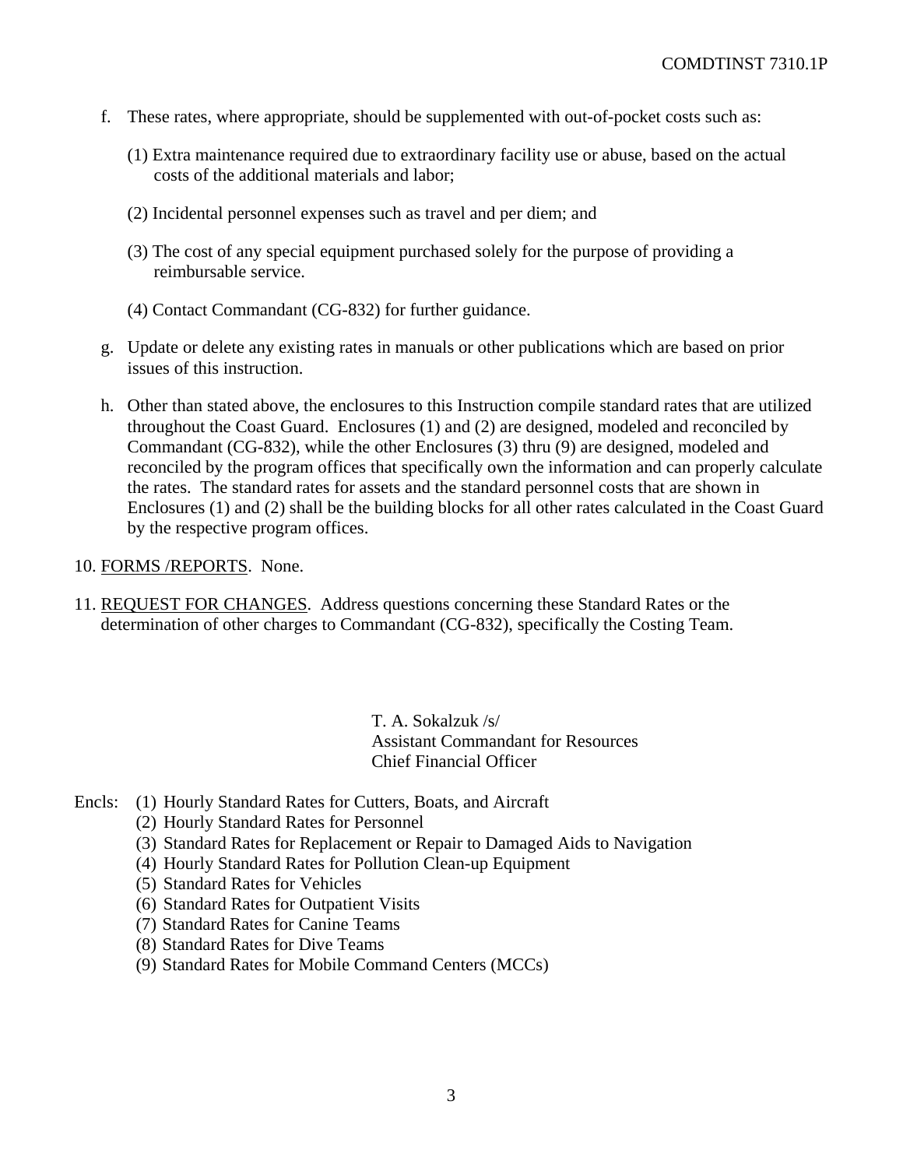- f. These rates, where appropriate, should be supplemented with out-of-pocket costs such as:
	- (1) Extra maintenance required due to extraordinary facility use or abuse, based on the actual costs of the additional materials and labor;
	- (2) Incidental personnel expenses such as travel and per diem; and
	- (3) The cost of any special equipment purchased solely for the purpose of providing a reimbursable service.
	- (4) Contact Commandant (CG-832) for further guidance.
- g. Update or delete any existing rates in manuals or other publications which are based on prior issues of this instruction.
- h. Other than stated above, the enclosures to this Instruction compile standard rates that are utilized throughout the Coast Guard. Enclosures (1) and (2) are designed, modeled and reconciled by Commandant (CG-832), while the other Enclosures (3) thru (9) are designed, modeled and reconciled by the program offices that specifically own the information and can properly calculate the rates. The standard rates for assets and the standard personnel costs that are shown in Enclosures (1) and (2) shall be the building blocks for all other rates calculated in the Coast Guard by the respective program offices.

#### 10. FORMS /REPORTS. None.

11. REQUEST FOR CHANGES. Address questions concerning these Standard Rates or the determination of other charges to Commandant (CG-832), specifically the Costing Team.

> T. A. Sokalzuk /s/ Assistant Commandant for Resources Chief Financial Officer

- Encls: (1) Hourly Standard Rates for Cutters, Boats, and Aircraft
	- (2) Hourly Standard Rates for Personnel
	- (3) Standard Rates for Replacement or Repair to Damaged Aids to Navigation
	- (4) Hourly Standard Rates for Pollution Clean-up Equipment
	- (5) Standard Rates for Vehicles
	- (6) Standard Rates for Outpatient Visits
	- (7) Standard Rates for Canine Teams
	- (8) Standard Rates for Dive Teams
	- (9) Standard Rates for Mobile Command Centers (MCCs)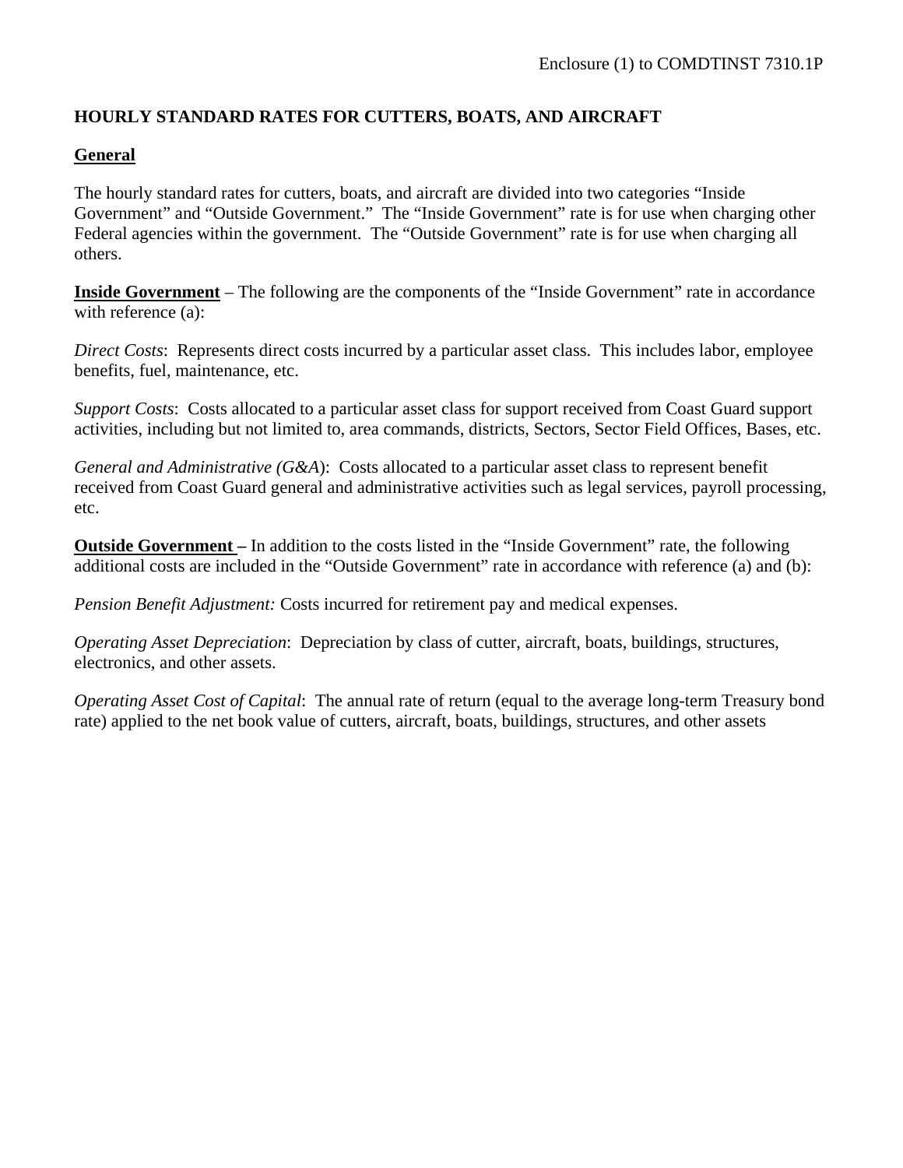#### **HOURLY STANDARD RATES FOR CUTTERS, BOATS, AND AIRCRAFT**

#### **General**

The hourly standard rates for cutters, boats, and aircraft are divided into two categories "Inside Government" and "Outside Government." The "Inside Government" rate is for use when charging other Federal agencies within the government. The "Outside Government" rate is for use when charging all others.

**Inside Government** – The following are the components of the "Inside Government" rate in accordance with reference (a):

*Direct Costs*: Represents direct costs incurred by a particular asset class. This includes labor, employee benefits, fuel, maintenance, etc.

*Support Costs*: Costs allocated to a particular asset class for support received from Coast Guard support activities, including but not limited to, area commands, districts, Sectors, Sector Field Offices, Bases, etc.

*General and Administrative (G&A*): Costs allocated to a particular asset class to represent benefit received from Coast Guard general and administrative activities such as legal services, payroll processing, etc.

**Outside Government –** In addition to the costs listed in the "Inside Government" rate, the following additional costs are included in the "Outside Government" rate in accordance with reference (a) and (b):

*Pension Benefit Adjustment:* Costs incurred for retirement pay and medical expenses.

*Operating Asset Depreciation*: Depreciation by class of cutter, aircraft, boats, buildings, structures, electronics, and other assets.

*Operating Asset Cost of Capital*: The annual rate of return (equal to the average long-term Treasury bond rate) applied to the net book value of cutters, aircraft, boats, buildings, structures, and other assets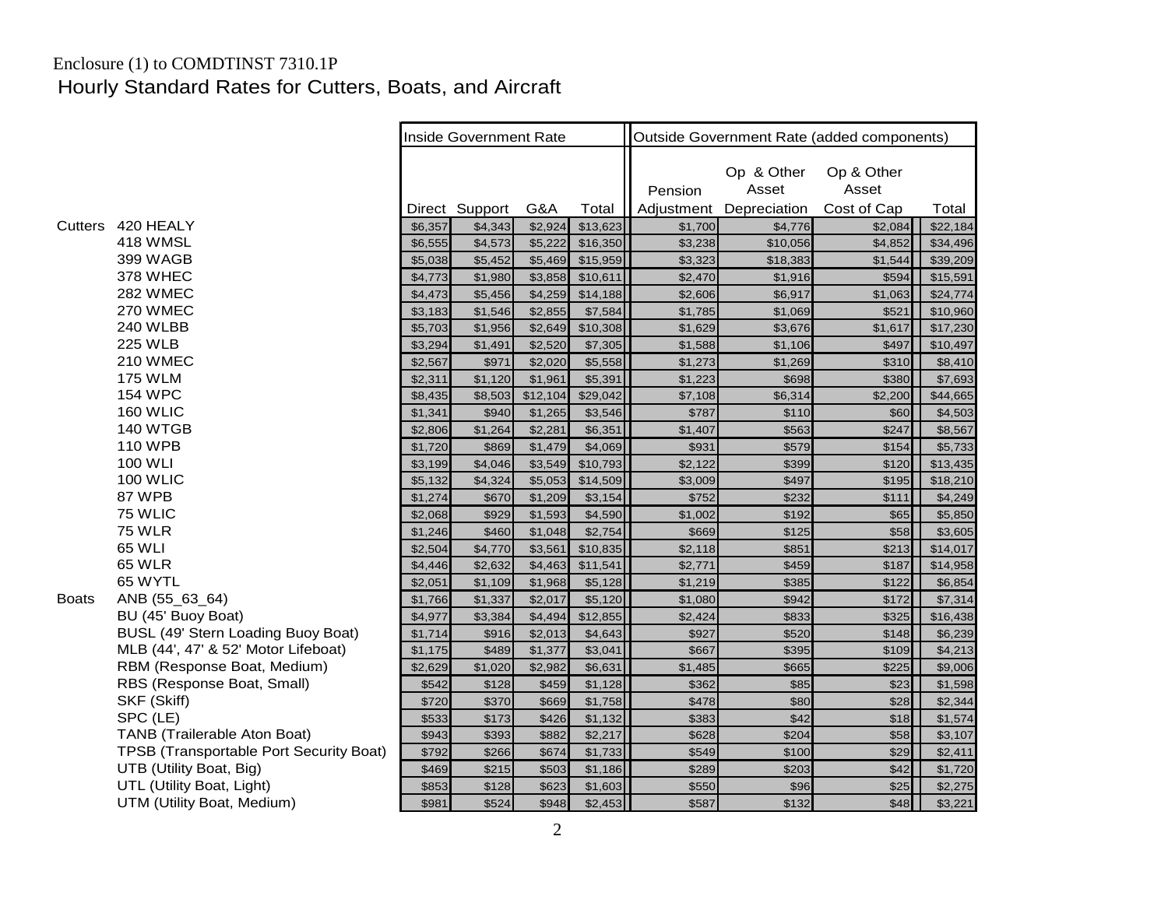# Enclosure (1) to COMDTINST 7310.1P Hourly Standard Rates for Cutters, Boats, and Aircraft

|              |                                         |         | <b>Inside Government Rate</b> |          |          | Outside Government Rate (added components) |                                     |                                    |          |  |
|--------------|-----------------------------------------|---------|-------------------------------|----------|----------|--------------------------------------------|-------------------------------------|------------------------------------|----------|--|
|              |                                         |         | Direct Support                | G&A      | Total    | Pension<br>Adjustment                      | Op & Other<br>Asset<br>Depreciation | Op & Other<br>Asset<br>Cost of Cap | Total    |  |
| Cutters      | 420 HEALY                               | \$6,357 | \$4,343                       | \$2,924  | \$13,623 | \$1,700                                    | \$4,776                             | \$2,084                            | \$22,184 |  |
|              | 418 WMSL                                | \$6,555 | \$4,573                       | \$5,222  | \$16,350 | \$3,238                                    | \$10,056                            | \$4,852                            | \$34,496 |  |
|              | 399 WAGB                                | \$5,038 | \$5,452                       | \$5,469  | \$15,959 | \$3,323                                    | \$18,383                            | \$1,544                            | \$39,209 |  |
|              | 378 WHEC                                | \$4,773 | \$1,980                       | \$3,858  | \$10,611 | \$2,470                                    | \$1,916                             | \$594                              | \$15,591 |  |
|              | <b>282 WMEC</b>                         | \$4,473 | \$5,456                       | \$4,259  | \$14,188 | \$2,606                                    | \$6,917                             | \$1,063                            | \$24,774 |  |
|              | 270 WMEC                                | \$3,183 | \$1,546                       | \$2,855  | \$7,584  | \$1,785                                    | \$1,069                             | \$521                              | \$10,960 |  |
|              | 240 WLBB                                | \$5,703 | \$1,956                       | \$2,649  | \$10,308 | \$1,629                                    | \$3,676                             | \$1,617                            | \$17,230 |  |
|              | <b>225 WLB</b>                          | \$3,294 | \$1,491                       | \$2,520  | \$7,305  | \$1,588                                    | \$1,106                             | \$497                              | \$10,497 |  |
|              | <b>210 WMEC</b>                         | \$2,567 | \$971                         | \$2,020  | \$5,558  | \$1,273                                    | \$1,269                             | \$310                              | \$8,410  |  |
|              | <b>175 WLM</b>                          | \$2,311 | \$1,120                       | \$1,961  | \$5,391  | \$1,223                                    | \$698                               | \$380                              | \$7,693  |  |
|              | <b>154 WPC</b>                          | \$8,435 | \$8,503                       | \$12,104 | \$29,042 | \$7,108                                    | \$6,314                             | \$2,200                            | \$44,665 |  |
|              | <b>160 WLIC</b>                         | \$1,341 | \$940                         | \$1,265  | \$3,546  | \$787                                      | \$110                               | \$60                               | \$4,503  |  |
|              | 140 WTGB                                | \$2,806 | \$1,264                       | \$2,281  | \$6,351  | \$1,407                                    | \$563                               | \$247                              | \$8,567  |  |
|              | <b>110 WPB</b>                          | \$1,720 | \$869                         | \$1,479  | \$4,069  | \$931                                      | \$579                               | \$154                              | \$5,733  |  |
|              | <b>100 WLI</b>                          | \$3,199 | \$4,046                       | \$3,549  | \$10,793 | \$2,122                                    | \$399                               | \$120                              | \$13,435 |  |
|              | <b>100 WLIC</b>                         | \$5,132 | \$4,324                       | \$5,053  | \$14,509 | \$3,009                                    | \$497                               | \$195                              | \$18,210 |  |
|              | 87 WPB                                  | \$1,274 | \$670                         | \$1,209  | \$3,154  | \$752                                      | \$232                               | \$111                              | \$4,249  |  |
|              | 75 WLIC                                 | \$2,068 | \$929                         | \$1,593  | \$4,590  | \$1,002                                    | \$192                               | \$65                               | \$5,850  |  |
|              | <b>75 WLR</b>                           | \$1,246 | \$460                         | \$1,048  | \$2,754  | \$669                                      | \$125                               | \$58                               | \$3,605  |  |
|              | 65 WLI                                  | \$2,504 | \$4,770                       | \$3,561  | \$10,835 | \$2,118                                    | \$851                               | \$213                              | \$14,017 |  |
|              | <b>65 WLR</b>                           | \$4,446 | \$2,632                       | \$4,463  | \$11,541 | \$2,771                                    | \$459                               | \$187                              | \$14,958 |  |
|              | 65 WYTL                                 | \$2,051 | \$1,109                       | \$1,968  | \$5,128  | \$1,219                                    | \$385                               | \$122                              | \$6,854  |  |
| <b>Boats</b> | ANB (55_63_64)                          | \$1,766 | \$1,337                       | \$2,017  | \$5,120  | \$1,080                                    | \$942                               | \$172                              | \$7,314  |  |
|              | BU (45' Buoy Boat)                      | \$4,977 | \$3,384                       | \$4,494  | \$12,855 | \$2,424                                    | \$833                               | \$325                              | \$16,438 |  |
|              | BUSL (49' Stern Loading Buoy Boat)      | \$1,714 | \$916                         | \$2,013  | \$4,643  | \$927                                      | \$520                               | \$148                              | \$6,239  |  |
|              | MLB (44', 47' & 52' Motor Lifeboat)     | \$1,175 | \$489                         | \$1,377  | \$3,041  | \$667                                      | \$395                               | \$109                              | \$4,213  |  |
|              | RBM (Response Boat, Medium)             | \$2,629 | \$1,020                       | \$2,982  | \$6,631  | \$1,485                                    | \$665                               | \$225                              | \$9,006  |  |
|              | RBS (Response Boat, Small)              | \$542   | \$128                         | \$459    | \$1,128  | \$362                                      | \$85                                | \$23                               | \$1,598  |  |
|              | SKF (Skiff)                             | \$720   | \$370                         | \$669    | \$1,758  | \$478                                      | \$80                                | \$28                               | \$2,344  |  |
|              | SPC (LE)                                | \$533   | \$173                         | \$426    | \$1,132  | \$383                                      | \$42                                | \$18                               | \$1,574  |  |
|              | TANB (Trailerable Aton Boat)            | \$943   | \$393                         | \$882    | \$2,217  | \$628                                      | \$204                               | \$58                               | \$3,107  |  |
|              | TPSB (Transportable Port Security Boat) | \$792   | \$266                         | \$674    | \$1,733  | \$549                                      | \$100                               | \$29                               | \$2,411  |  |
|              | UTB (Utility Boat, Big)                 | \$469   | \$215                         | \$503    | \$1,186  | \$289                                      | \$203                               | \$42                               | \$1,720  |  |
|              | UTL (Utility Boat, Light)               | \$853   | \$128                         | \$623    | \$1,603  | \$550                                      | \$96                                | \$25                               | \$2,275  |  |
|              | UTM (Utility Boat, Medium)              | \$981   | \$524                         | \$948    | \$2,453  | \$587                                      | \$132                               | \$48                               | \$3,221  |  |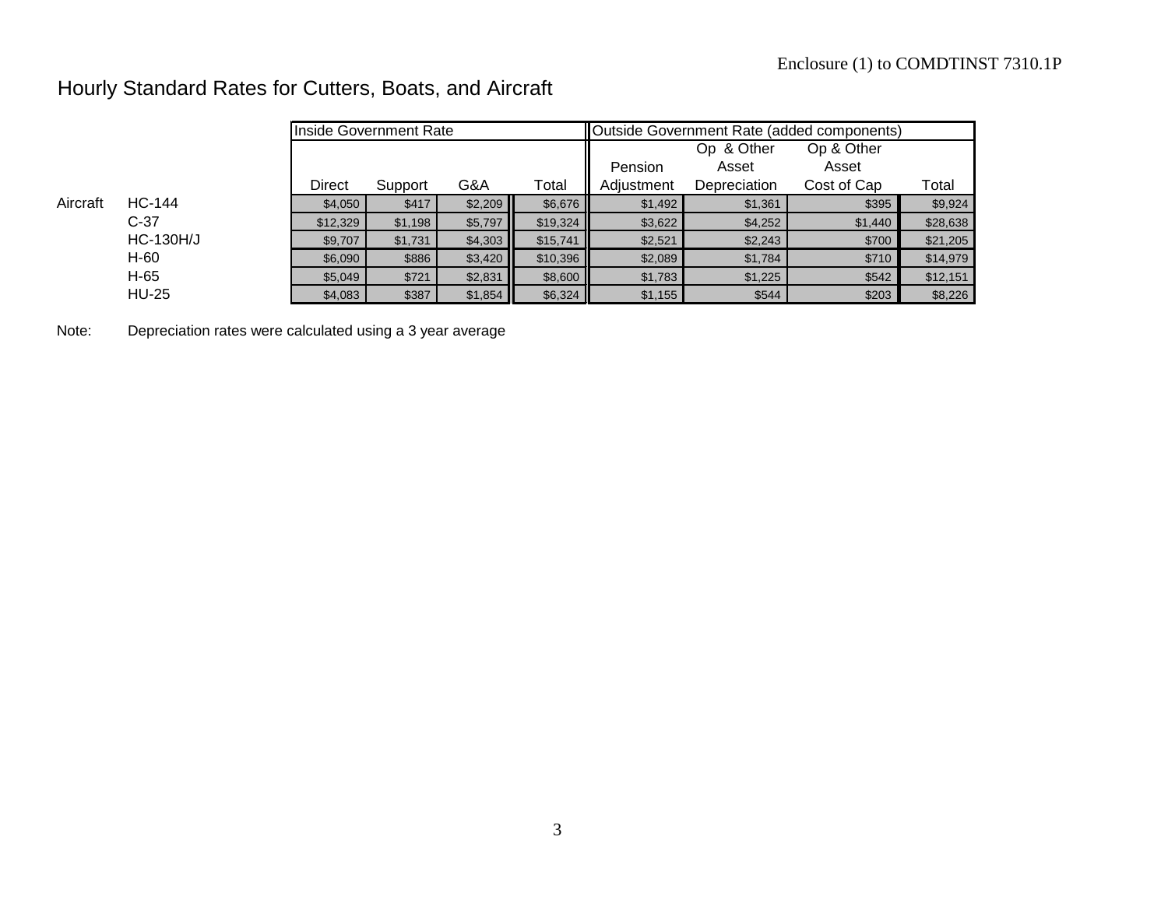# Hourly Standard Rates for Cutters, Boats, and Aircraft

|          |                  | Inside Government Rate |         |         |          | Outside Government Rate (added components) |              |             |          |
|----------|------------------|------------------------|---------|---------|----------|--------------------------------------------|--------------|-------------|----------|
|          |                  |                        |         |         |          |                                            | Op & Other   | Op & Other  |          |
|          |                  |                        |         |         |          | Pension                                    | Asset        | Asset       |          |
|          |                  | <b>Direct</b>          | Support | G&A     | Total    | Adjustment                                 | Depreciation | Cost of Cap | Total    |
| Aircraft | HC-144           | \$4,050                | \$417   | \$2,209 | \$6,676  | \$1,492                                    | \$1,361      | \$395       | \$9,924  |
|          | $C-37$           | \$12,329               | \$1,198 | \$5,797 | \$19,324 | \$3,622                                    | \$4,252      | \$1,440     | \$28,638 |
|          | <b>HC-130H/J</b> | \$9,707                | \$1,731 | \$4,303 | \$15,741 | \$2,521                                    | \$2,243      | \$700       | \$21,205 |
|          | H-60             | \$6,090                | \$886   | \$3,420 | \$10,396 | \$2,089                                    | \$1,784      | \$710       | \$14,979 |
|          | H-65             | \$5,049                | \$721   | \$2,831 | \$8,600  | \$1,783                                    | \$1,225      | \$542       | \$12,151 |
|          | <b>HU-25</b>     | \$4,083                | \$387   | \$1,854 | \$6,324  | \$1,155                                    | \$544        | \$203       | \$8,226  |

Note: Depreciation rates were calculated using a 3 year average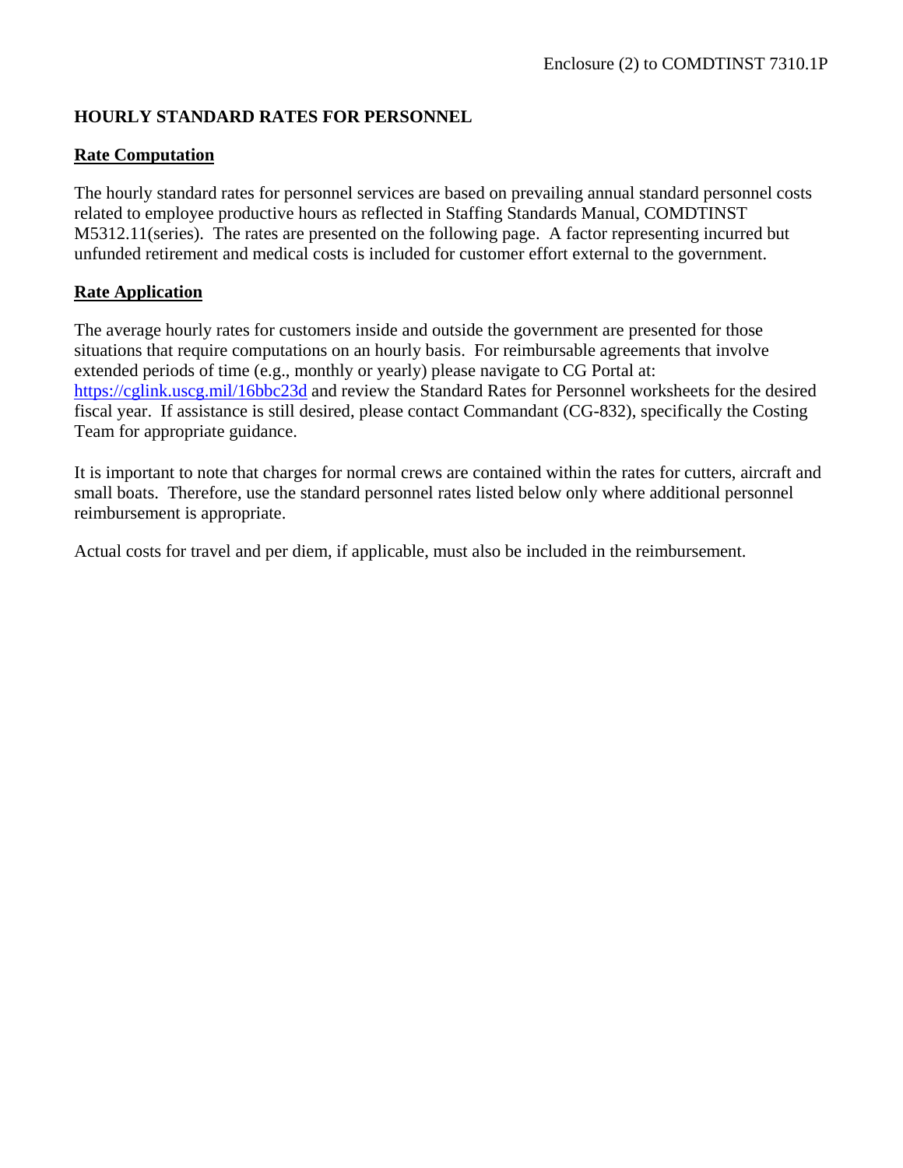# **HOURLY STANDARD RATES FOR PERSONNEL**

#### **Rate Computation**

The hourly standard rates for personnel services are based on prevailing annual standard personnel costs related to employee productive hours as reflected in Staffing Standards Manual, COMDTINST M5312.11(series). The rates are presented on the following page. A factor representing incurred but unfunded retirement and medical costs is included for customer effort external to the government.

#### **Rate Application**

The average hourly rates for customers inside and outside the government are presented for those situations that require computations on an hourly basis. For reimbursable agreements that involve extended periods of time (e.g., monthly or yearly) please navigate to CG Portal at: <https://cglink.uscg.mil/16bbc23d> and review the Standard Rates for Personnel worksheets for the desired fiscal year. If assistance is still desired, please contact Commandant (CG-832), specifically the Costing Team for appropriate guidance.

It is important to note that charges for normal crews are contained within the rates for cutters, aircraft and small boats. Therefore, use the standard personnel rates listed below only where additional personnel reimbursement is appropriate.

Actual costs for travel and per diem, if applicable, must also be included in the reimbursement.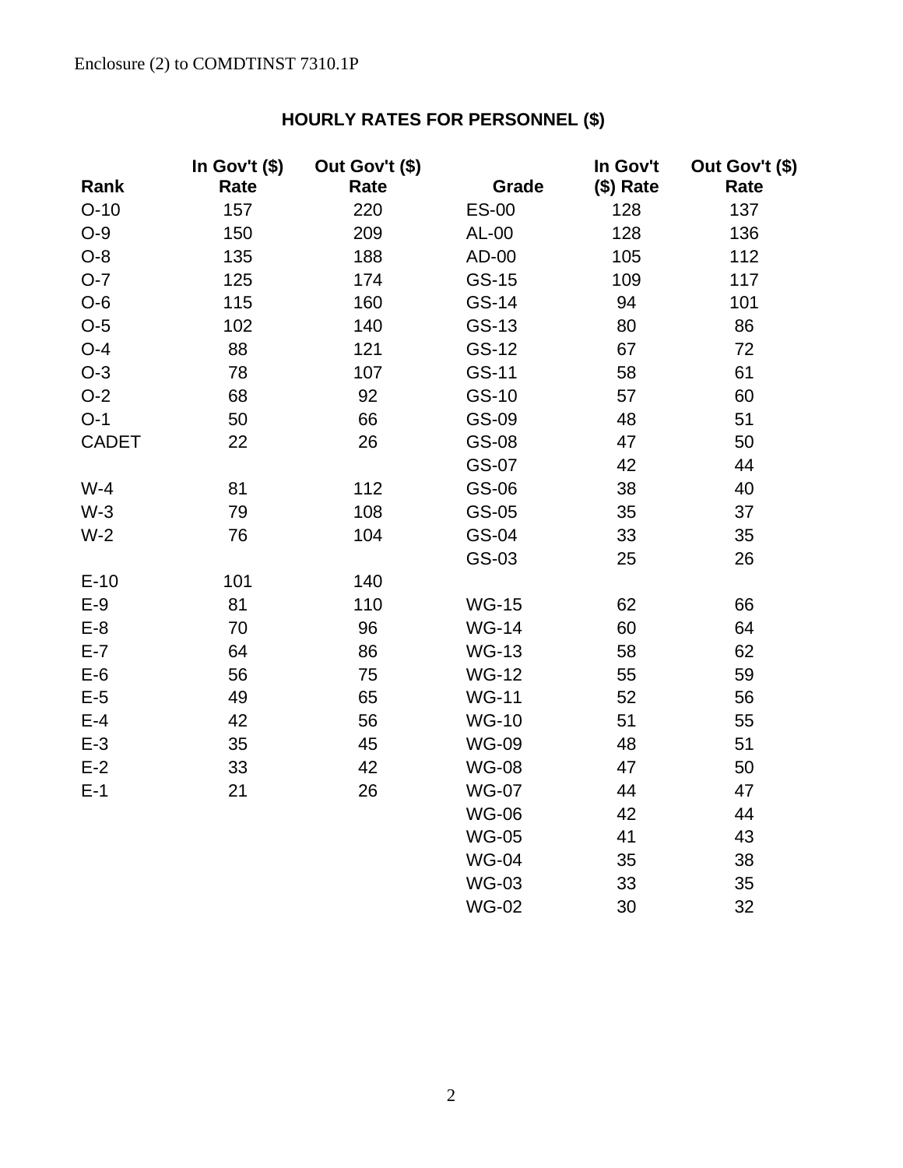# **HOURLY RATES FOR PERSONNEL (\$)**

|              | In Gov't (\$) | Out Gov't (\$) |              | In Gov't  | Out Gov't (\$) |
|--------------|---------------|----------------|--------------|-----------|----------------|
| Rank         | Rate          | Rate           | Grade        | (\$) Rate | Rate           |
| $O-10$       | 157           | 220            | <b>ES-00</b> | 128       | 137            |
| $O-9$        | 150           | 209            | AL-00        | 128       | 136            |
| $O-8$        | 135           | 188            | AD-00        | 105       | 112            |
| $O-7$        | 125           | 174            | GS-15        | 109       | 117            |
| $O-6$        | 115           | 160            | GS-14        | 94        | 101            |
| $O-5$        | 102           | 140            | GS-13        | 80        | 86             |
| $O-4$        | 88            | 121            | GS-12        | 67        | 72             |
| $O-3$        | 78            | 107            | GS-11        | 58        | 61             |
| $O-2$        | 68            | 92             | GS-10        | 57        | 60             |
| $O-1$        | 50            | 66             | GS-09        | 48        | 51             |
| <b>CADET</b> | 22            | 26             | GS-08        | 47        | 50             |
|              |               |                | GS-07        | 42        | 44             |
| $W-4$        | 81            | 112            | GS-06        | 38        | 40             |
| $W-3$        | 79            | 108            | GS-05        | 35        | 37             |
| $W-2$        | 76            | 104            | GS-04        | 33        | 35             |
|              |               |                | GS-03        | 25        | 26             |
| $E-10$       | 101           | 140            |              |           |                |
| $E-9$        | 81            | 110            | <b>WG-15</b> | 62        | 66             |
| $E-8$        | 70            | 96             | <b>WG-14</b> | 60        | 64             |
| $E-7$        | 64            | 86             | <b>WG-13</b> | 58        | 62             |
| $E-6$        | 56            | 75             | <b>WG-12</b> | 55        | 59             |
| $E-5$        | 49            | 65             | <b>WG-11</b> | 52        | 56             |
| $E-4$        | 42            | 56             | <b>WG-10</b> | 51        | 55             |
| $E-3$        | 35            | 45             | <b>WG-09</b> | 48        | 51             |
| $E-2$        | 33            | 42             | <b>WG-08</b> | 47        | 50             |
| $E-1$        | 21            | 26             | <b>WG-07</b> | 44        | 47             |
|              |               |                | <b>WG-06</b> | 42        | 44             |
|              |               |                | <b>WG-05</b> | 41        | 43             |
|              |               |                | <b>WG-04</b> | 35        | 38             |
|              |               |                | <b>WG-03</b> | 33        | 35             |
|              |               |                | <b>WG-02</b> | 30        | 32             |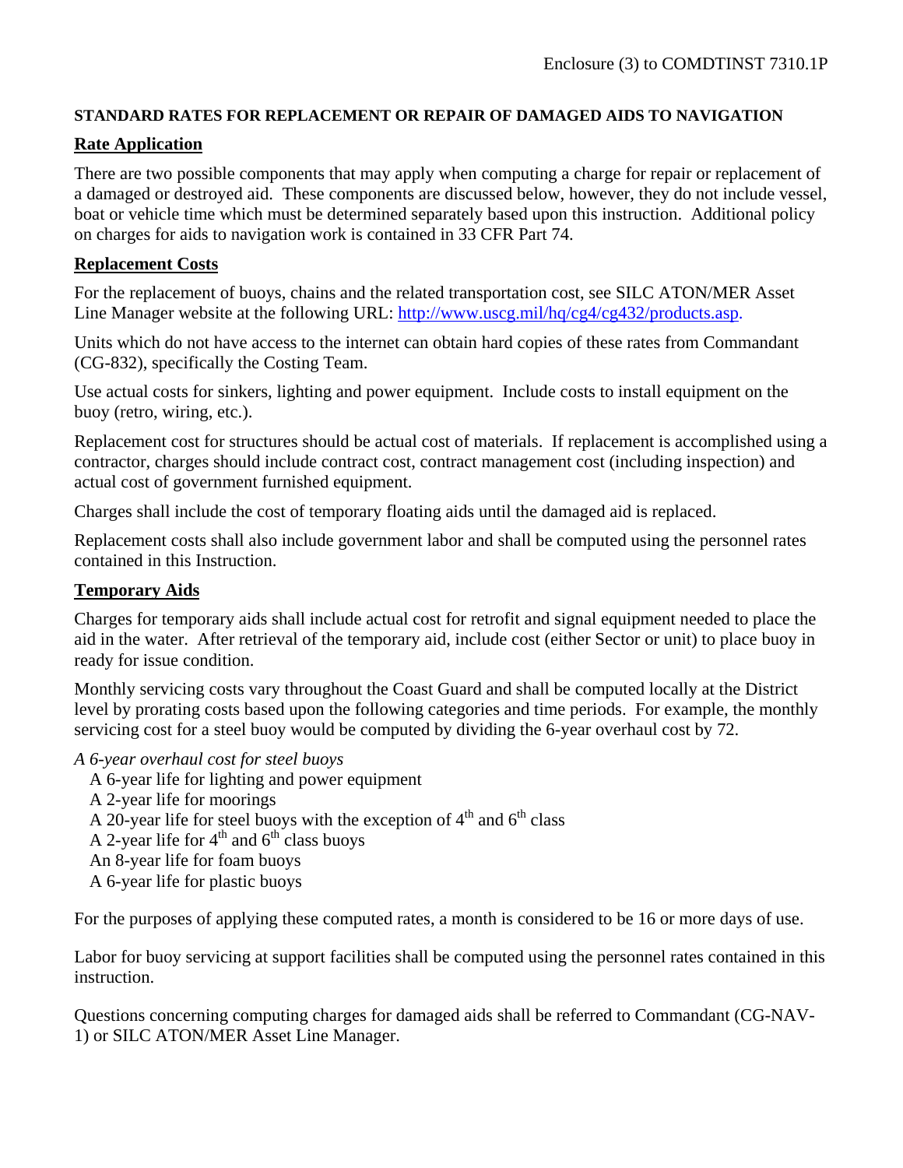#### **STANDARD RATES FOR REPLACEMENT OR REPAIR OF DAMAGED AIDS TO NAVIGATION**

#### **Rate Application**

There are two possible components that may apply when computing a charge for repair or replacement of a damaged or destroyed aid. These components are discussed below, however, they do not include vessel, boat or vehicle time which must be determined separately based upon this instruction. Additional policy on charges for aids to navigation work is contained in 33 CFR Part 74.

#### **Replacement Costs**

For the replacement of buoys, chains and the related transportation cost, see SILC ATON/MER Asset Line Manager website at the following URL: [http://www.uscg.mil/hq/cg4/cg432/products.asp.](http://www.uscg.mil/hq/cg4/cg432/products.asp)

Units which do not have access to the internet can obtain hard copies of these rates from Commandant (CG-832), specifically the Costing Team.

Use actual costs for sinkers, lighting and power equipment. Include costs to install equipment on the buoy (retro, wiring, etc.).

Replacement cost for structures should be actual cost of materials. If replacement is accomplished using a contractor, charges should include contract cost, contract management cost (including inspection) and actual cost of government furnished equipment.

Charges shall include the cost of temporary floating aids until the damaged aid is replaced.

Replacement costs shall also include government labor and shall be computed using the personnel rates contained in this Instruction.

#### **Temporary Aids**

Charges for temporary aids shall include actual cost for retrofit and signal equipment needed to place the aid in the water. After retrieval of the temporary aid, include cost (either Sector or unit) to place buoy in ready for issue condition.

Monthly servicing costs vary throughout the Coast Guard and shall be computed locally at the District level by prorating costs based upon the following categories and time periods. For example, the monthly servicing cost for a steel buoy would be computed by dividing the 6-year overhaul cost by 72.

*A 6-year overhaul cost for steel buoys*

A 6-year life for lighting and power equipment A 2-year life for moorings A 20-year life for steel buoys with the exception of  $4<sup>th</sup>$  and  $6<sup>th</sup>$  class A 2-year life for  $4<sup>th</sup>$  and  $6<sup>th</sup>$  class buoys An 8-year life for foam buoys A 6-year life for plastic buoys

For the purposes of applying these computed rates, a month is considered to be 16 or more days of use.

Labor for buoy servicing at support facilities shall be computed using the personnel rates contained in this instruction.

Questions concerning computing charges for damaged aids shall be referred to Commandant (CG-NAV-1) or SILC ATON/MER Asset Line Manager.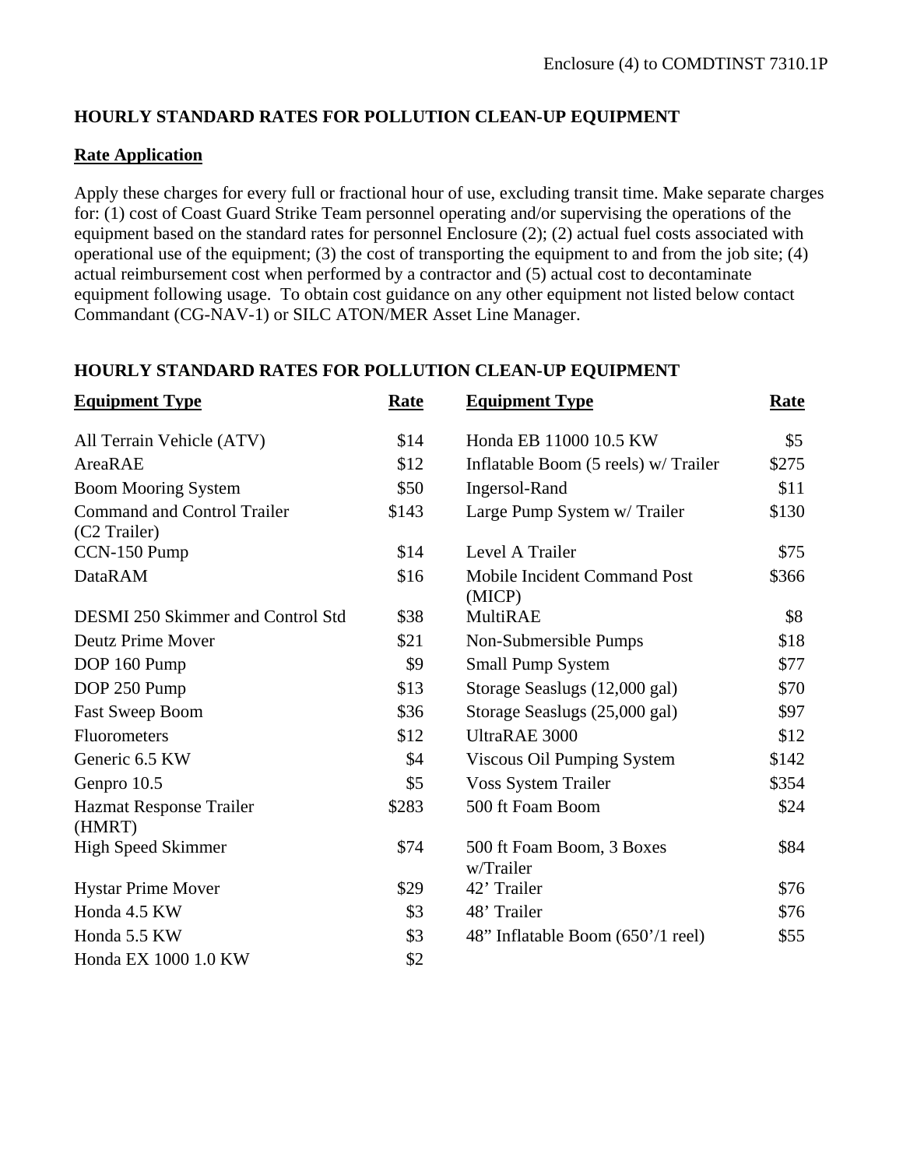# **HOURLY STANDARD RATES FOR POLLUTION CLEAN-UP EQUIPMENT**

### **Rate Application**

Apply these charges for every full or fractional hour of use, excluding transit time. Make separate charges for: (1) cost of Coast Guard Strike Team personnel operating and/or supervising the operations of the equipment based on the standard rates for personnel Enclosure (2); (2) actual fuel costs associated with operational use of the equipment; (3) the cost of transporting the equipment to and from the job site; (4) actual reimbursement cost when performed by a contractor and (5) actual cost to decontaminate equipment following usage. To obtain cost guidance on any other equipment not listed below contact Commandant (CG-NAV-1) or SILC ATON/MER Asset Line Manager.

# **HOURLY STANDARD RATES FOR POLLUTION CLEAN-UP EQUIPMENT**

| <b>Equipment Type</b>                              | Rate  | <b>Equipment Type</b>                  | Rate  |
|----------------------------------------------------|-------|----------------------------------------|-------|
| All Terrain Vehicle (ATV)                          | \$14  | Honda EB 11000 10.5 KW                 | \$5   |
| AreaRAE                                            | \$12  | Inflatable Boom (5 reels) w/ Trailer   | \$275 |
| <b>Boom Mooring System</b>                         | \$50  | Ingersol-Rand                          | \$11  |
| <b>Command and Control Trailer</b><br>(C2 Trailer) | \$143 | Large Pump System w/ Trailer           | \$130 |
| CCN-150 Pump                                       | \$14  | Level A Trailer                        | \$75  |
| <b>DataRAM</b>                                     | \$16  | Mobile Incident Command Post<br>(MICP) | \$366 |
| <b>DESMI 250 Skimmer and Control Std</b>           | \$38  | <b>MultiRAE</b>                        | \$8   |
| <b>Deutz Prime Mover</b>                           | \$21  | Non-Submersible Pumps                  | \$18  |
| DOP 160 Pump                                       | \$9   | <b>Small Pump System</b>               | \$77  |
| DOP 250 Pump                                       | \$13  | Storage Seaslugs (12,000 gal)          | \$70  |
| Fast Sweep Boom                                    | \$36  | Storage Seaslugs (25,000 gal)          | \$97  |
| Fluorometers                                       | \$12  | UltraRAE 3000                          | \$12  |
| Generic 6.5 KW                                     | \$4   | Viscous Oil Pumping System             | \$142 |
| Genpro 10.5                                        | \$5   | <b>Voss System Trailer</b>             | \$354 |
| Hazmat Response Trailer<br>(HMRT)                  | \$283 | 500 ft Foam Boom                       | \$24  |
| <b>High Speed Skimmer</b>                          | \$74  | 500 ft Foam Boom, 3 Boxes<br>w/Trailer | \$84  |
| <b>Hystar Prime Mover</b>                          | \$29  | 42' Trailer                            | \$76  |
| Honda 4.5 KW                                       | \$3   | 48' Trailer                            | \$76  |
| Honda 5.5 KW                                       | \$3   | 48" Inflatable Boom (650'/1 reel)      | \$55  |
| Honda EX 1000 1.0 KW                               | \$2   |                                        |       |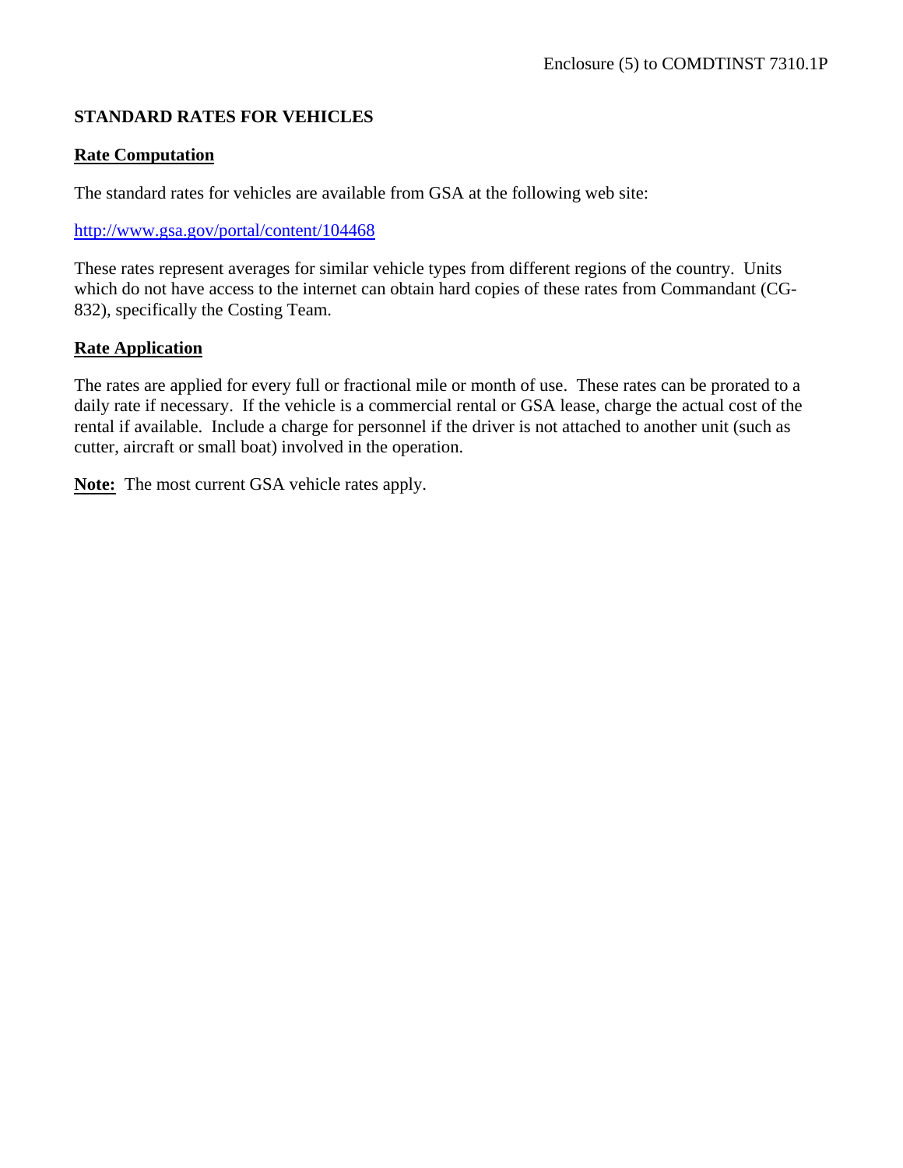# **STANDARD RATES FOR VEHICLES**

#### **Rate Computation**

The standard rates for vehicles are available from GSA at the following web site:

#### <http://www.gsa.gov/portal/content/104468>

These rates represent averages for similar vehicle types from different regions of the country. Units which do not have access to the internet can obtain hard copies of these rates from Commandant (CG-832), specifically the Costing Team.

#### **Rate Application**

The rates are applied for every full or fractional mile or month of use. These rates can be prorated to a daily rate if necessary. If the vehicle is a commercial rental or GSA lease, charge the actual cost of the rental if available. Include a charge for personnel if the driver is not attached to another unit (such as cutter, aircraft or small boat) involved in the operation.

**Note:** The most current GSA vehicle rates apply.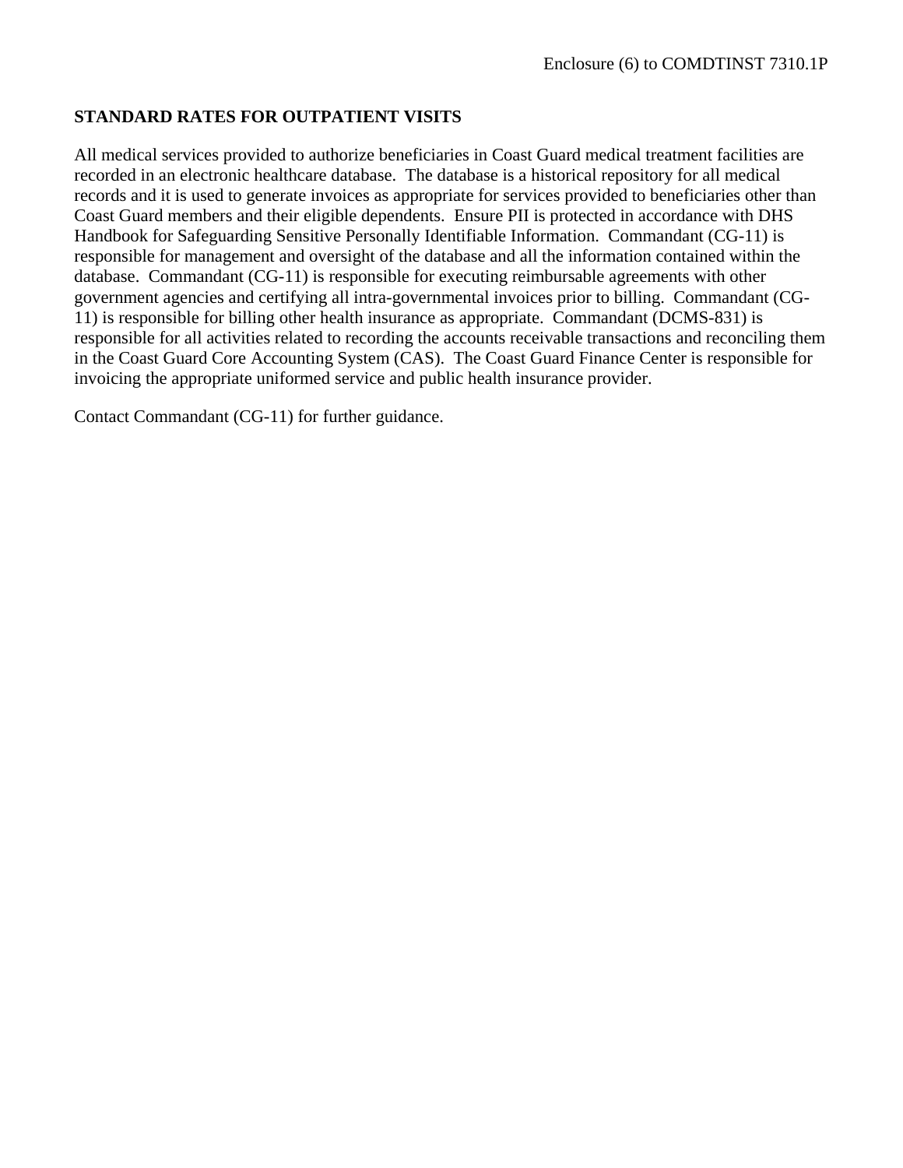#### **STANDARD RATES FOR OUTPATIENT VISITS**

All medical services provided to authorize beneficiaries in Coast Guard medical treatment facilities are recorded in an electronic healthcare database. The database is a historical repository for all medical records and it is used to generate invoices as appropriate for services provided to beneficiaries other than Coast Guard members and their eligible dependents. Ensure PII is protected in accordance with DHS Handbook for Safeguarding Sensitive Personally Identifiable Information. Commandant (CG-11) is responsible for management and oversight of the database and all the information contained within the database. Commandant (CG-11) is responsible for executing reimbursable agreements with other government agencies and certifying all intra-governmental invoices prior to billing. Commandant (CG-11) is responsible for billing other health insurance as appropriate. Commandant (DCMS-831) is responsible for all activities related to recording the accounts receivable transactions and reconciling them in the Coast Guard Core Accounting System (CAS). The Coast Guard Finance Center is responsible for invoicing the appropriate uniformed service and public health insurance provider.

Contact Commandant (CG-11) for further guidance.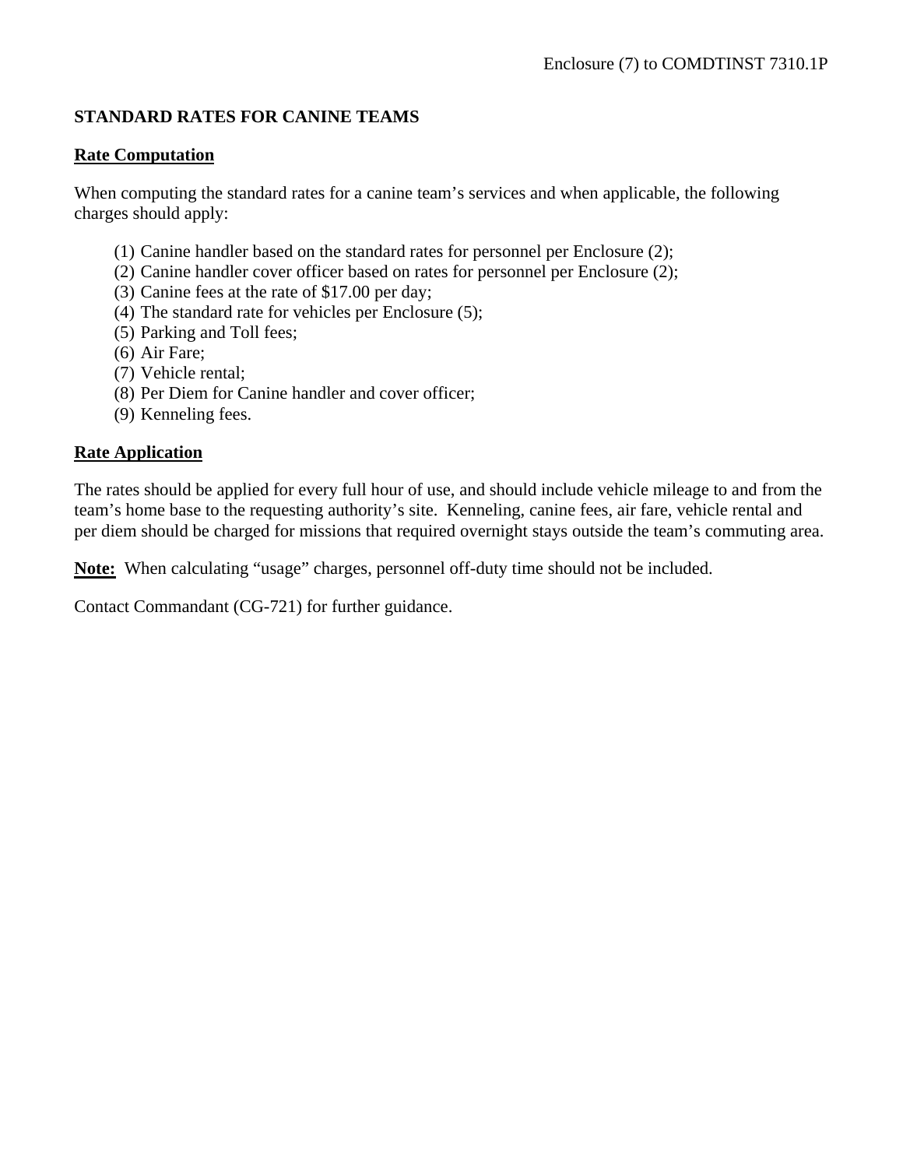# **STANDARD RATES FOR CANINE TEAMS**

#### **Rate Computation**

When computing the standard rates for a canine team's services and when applicable, the following charges should apply:

- (1) Canine handler based on the standard rates for personnel per Enclosure (2);
- (2) Canine handler cover officer based on rates for personnel per Enclosure (2);
- (3) Canine fees at the rate of \$17.00 per day;
- (4) The standard rate for vehicles per Enclosure (5);
- (5) Parking and Toll fees;
- (6) Air Fare;
- (7) Vehicle rental;
- (8) Per Diem for Canine handler and cover officer;
- (9) Kenneling fees.

#### **Rate Application**

The rates should be applied for every full hour of use, and should include vehicle mileage to and from the team's home base to the requesting authority's site. Kenneling, canine fees, air fare, vehicle rental and per diem should be charged for missions that required overnight stays outside the team's commuting area.

**Note:** When calculating "usage" charges, personnel off-duty time should not be included.

Contact Commandant (CG-721) for further guidance.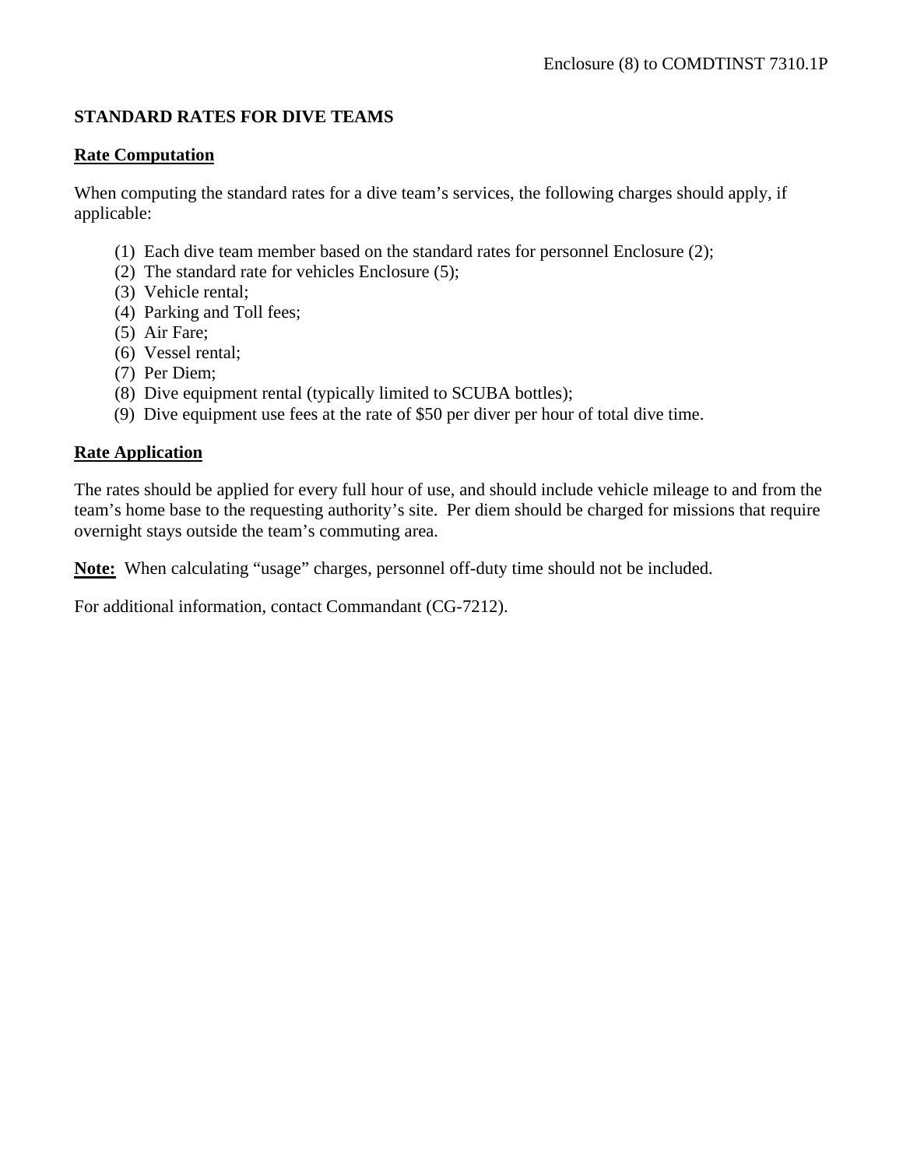# **STANDARD RATES FOR DIVE TEAMS**

#### **Rate Computation**

When computing the standard rates for a dive team's services, the following charges should apply, if applicable:

- (1) Each dive team member based on the standard rates for personnel Enclosure (2);
- (2) The standard rate for vehicles Enclosure (5);
- (3) Vehicle rental;
- (4) Parking and Toll fees;
- (5) Air Fare;
- (6) Vessel rental;
- (7) Per Diem;
- (8) Dive equipment rental (typically limited to SCUBA bottles);
- (9) Dive equipment use fees at the rate of \$50 per diver per hour of total dive time.

#### **Rate Application**

The rates should be applied for every full hour of use, and should include vehicle mileage to and from the team's home base to the requesting authority's site. Per diem should be charged for missions that require overnight stays outside the team's commuting area.

**Note:** When calculating "usage" charges, personnel off-duty time should not be included.

For additional information, contact Commandant (CG-7212).